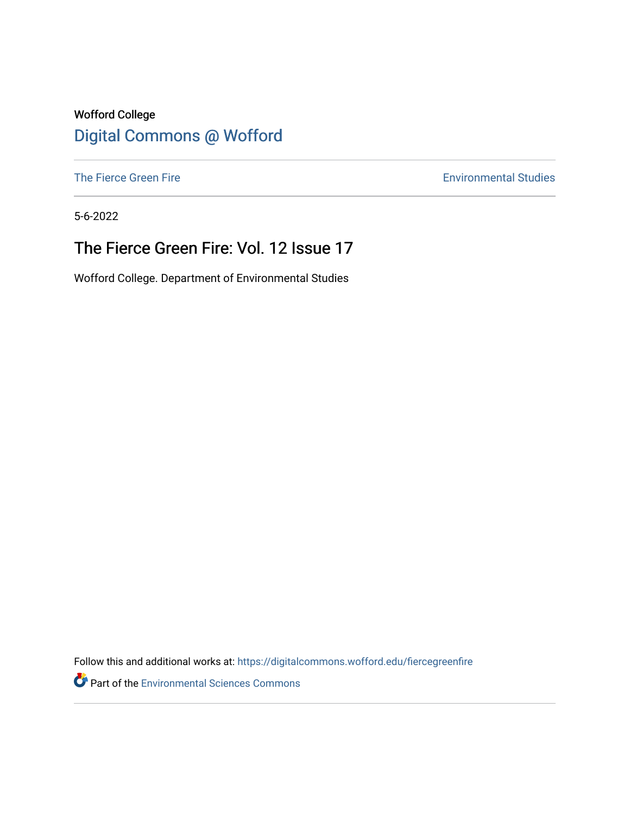### Wofford College [Digital Commons @ Wofford](https://digitalcommons.wofford.edu/)

[The Fierce Green Fire](https://digitalcommons.wofford.edu/fiercegreenfire) **Environmental Studies** 

5-6-2022

## The Fierce Green Fire: Vol. 12 Issue 17

Wofford College. Department of Environmental Studies

Follow this and additional works at: [https://digitalcommons.wofford.edu/fiercegreenfire](https://digitalcommons.wofford.edu/fiercegreenfire?utm_source=digitalcommons.wofford.edu%2Ffiercegreenfire%2F285&utm_medium=PDF&utm_campaign=PDFCoverPages) 

**Part of the [Environmental Sciences Commons](https://network.bepress.com/hgg/discipline/167?utm_source=digitalcommons.wofford.edu%2Ffiercegreenfire%2F285&utm_medium=PDF&utm_campaign=PDFCoverPages)**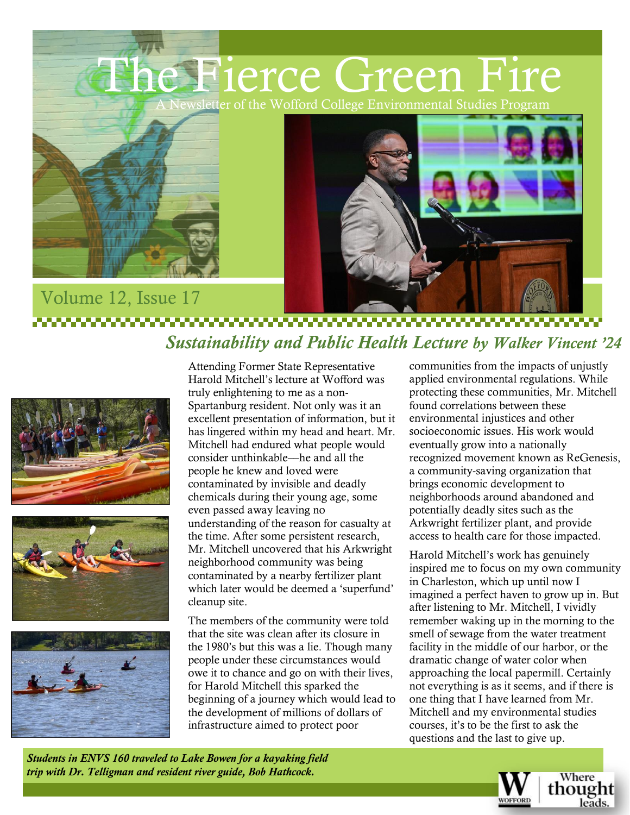



#### Volume 12, Issue 17 ,,,,,,,,,,,,,,,,,,,,,,, *Sustainability and Public Health Lecture by Walker Vincent '24*







Attending Former State Representative Harold Mitchell's lecture at Wofford was truly enlightening to me as a non-Spartanburg resident. Not only was it an excellent presentation of information, but it has lingered within my head and heart. Mr. Mitchell had endured what people would consider unthinkable––he and all the people he knew and loved were contaminated by invisible and deadly chemicals during their young age, some even passed away leaving no understanding of the reason for casualty at the time. After some persistent research, Mr. Mitchell uncovered that his Arkwright neighborhood community was being contaminated by a nearby fertilizer plant which later would be deemed a 'superfund' cleanup site.

The members of the community were told that the site was clean after its closure in the 1980's but this was a lie. Though many people under these circumstances would owe it to chance and go on with their lives, for Harold Mitchell this sparked the beginning of a journey which would lead to the development of millions of dollars of infrastructure aimed to protect poor

communities from the impacts of unjustly applied environmental regulations. While protecting these communities, Mr. Mitchell found correlations between these environmental injustices and other socioeconomic issues. His work would eventually grow into a nationally recognized movement known as ReGenesis, a community-saving organization that brings economic development to neighborhoods around abandoned and potentially deadly sites such as the Arkwright fertilizer plant, and provide access to health care for those impacted.

Harold Mitchell's work has genuinely inspired me to focus on my own community in Charleston, which up until now I imagined a perfect haven to grow up in. But after listening to Mr. Mitchell, I vividly remember waking up in the morning to the smell of sewage from the water treatment facility in the middle of our harbor, or the dramatic change of water color when approaching the local papermill. Certainly not everything is as it seems, and if there is one thing that I have learned from Mr. Mitchell and my environmental studies courses, it's to be the first to ask the questions and the last to give up.

*Students in ENVS 160 traveled to Lake Bowen for a kayaking field trip with Dr. Telligman and resident river guide, Bob Hathcock.*